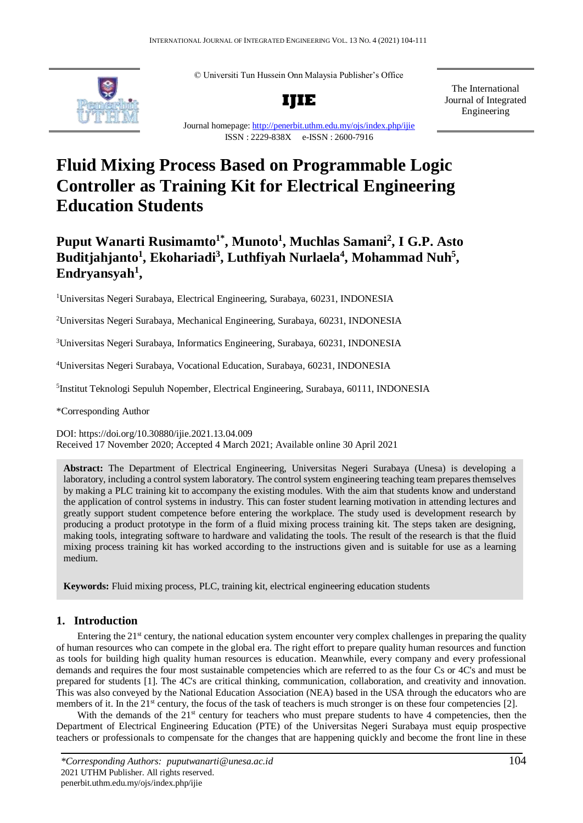

© Universiti Tun Hussein Onn Malaysia Publisher's Office



The International Journal of Integrated Engineering

Journal homepage[: http://penerbit.uthm.edu.my/ojs/index.php/ijie](http://penerbit.uthm.edu.my/ojs/index.php/ijie) ISSN : 2229-838X e-ISSN : 2600-7916

# **Fluid Mixing Process Based on Programmable Logic Controller as Training Kit for Electrical Engineering Education Students**

## **Puput Wanarti Rusimamto1\* , Munoto<sup>1</sup> , Muchlas Samani<sup>2</sup> , I G.P. Asto Buditjahjanto<sup>1</sup> , Ekohariadi<sup>3</sup> , Luthfiyah Nurlaela<sup>4</sup> , Mohammad Nuh<sup>5</sup> , Endryansyah<sup>1</sup> ,**

<sup>1</sup>Universitas Negeri Surabaya, Electrical Engineering, Surabaya, 60231, INDONESIA

<sup>2</sup>Universitas Negeri Surabaya, Mechanical Engineering, Surabaya, 60231, INDONESIA

<sup>3</sup>Universitas Negeri Surabaya, Informatics Engineering, Surabaya, 60231, INDONESIA

<sup>4</sup>Universitas Negeri Surabaya, Vocational Education, Surabaya, 60231, INDONESIA

5 Institut Teknologi Sepuluh Nopember, Electrical Engineering, Surabaya, 60111, INDONESIA

\*Corresponding Author

DOI: https://doi.org/10.30880/ijie.2021.13.04.009 Received 17 November 2020; Accepted 4 March 2021; Available online 30 April 2021

**Abstract:** The Department of Electrical Engineering, Universitas Negeri Surabaya (Unesa) is developing a laboratory, including a control system laboratory. The control system engineering teaching team prepares themselves by making a PLC training kit to accompany the existing modules. With the aim that students know and understand the application of control systems in industry. This can foster student learning motivation in attending lectures and greatly support student competence before entering the workplace. The study used is development research by producing a product prototype in the form of a fluid mixing process training kit. The steps taken are designing, making tools, integrating software to hardware and validating the tools. The result of the research is that the fluid mixing process training kit has worked according to the instructions given and is suitable for use as a learning medium.

**Keywords:** Fluid mixing process, PLC, training kit, electrical engineering education students

### **1. Introduction**

Entering the  $21<sup>st</sup>$  century, the national education system encounter very complex challenges in preparing the quality of human resources who can compete in the global era. The right effort to prepare quality human resources and function as tools for building high quality human resources is education. Meanwhile, every company and every professional demands and requires the four most sustainable competencies which are referred to as the four Cs or 4C's and must be prepared for students [1]. The 4C's are critical thinking, communication, collaboration, and creativity and innovation. This was also conveyed by the National Education Association (NEA) based in the USA through the educators who are members of it. In the 21<sup>st</sup> century, the focus of the task of teachers is much stronger is on these four competencies [2].

With the demands of the 21<sup>st</sup> century for teachers who must prepare students to have 4 competencies, then the Department of Electrical Engineering Education (PTE) of the Universitas Negeri Surabaya must equip prospective teachers or professionals to compensate for the changes that are happening quickly and become the front line in these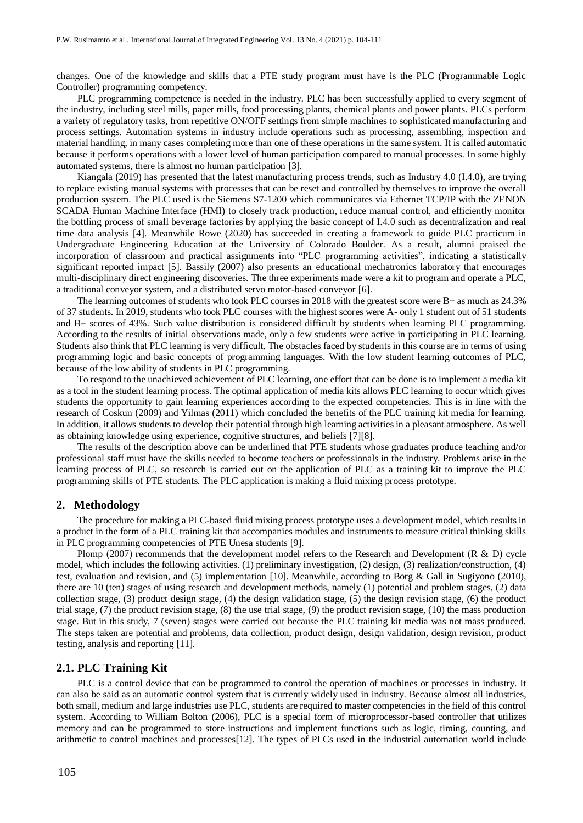changes. One of the knowledge and skills that a PTE study program must have is the PLC (Programmable Logic Controller) programming competency.

PLC programming competence is needed in the industry. PLC has been successfully applied to every segment of the industry, including steel mills, paper mills, food processing plants, chemical plants and power plants. PLCs perform a variety of regulatory tasks, from repetitive ON/OFF settings from simple machines to sophisticated manufacturing and process settings. Automation systems in industry include operations such as processing, assembling, inspection and material handling, in many cases completing more than one of these operations in the same system. It is called automatic because it performs operations with a lower level of human participation compared to manual processes. In some highly automated systems, there is almost no human participation [3].

Kiangala (2019) has presented that the latest manufacturing process trends, such as Industry 4.0 (I.4.0), are trying to replace existing manual systems with processes that can be reset and controlled by themselves to improve the overall production system. The PLC used is the Siemens S7-1200 which communicates via Ethernet TCP/IP with the ZENON SCADA Human Machine Interface (HMI) to closely track production, reduce manual control, and efficiently monitor the bottling process of small beverage factories by applying the basic concept of I.4.0 such as decentralization and real time data analysis [4]. Meanwhile Rowe (2020) has succeeded in creating a framework to guide PLC practicum in Undergraduate Engineering Education at the University of Colorado Boulder. As a result, alumni praised the incorporation of classroom and practical assignments into "PLC programming activities", indicating a statistically significant reported impact [5]. Bassily (2007) also presents an educational mechatronics laboratory that encourages multi-disciplinary direct engineering discoveries. The three experiments made were a kit to program and operate a PLC, a traditional conveyor system, and a distributed servo motor-based conveyor [6].

The learning outcomes of students who took PLC courses in 2018 with the greatest score were B+ as much as 24.3% of 37 students. In 2019, students who took PLC courses with the highest scores were A- only 1 student out of 51 students and B+ scores of 43%. Such value distribution is considered difficult by students when learning PLC programming. According to the results of initial observations made, only a few students were active in participating in PLC learning. Students also think that PLC learning is very difficult. The obstacles faced by students in this course are in terms of using programming logic and basic concepts of programming languages. With the low student learning outcomes of PLC, because of the low ability of students in PLC programming.

To respond to the unachieved achievement of PLC learning, one effort that can be done is to implement a media kit as a tool in the student learning process. The optimal application of media kits allows PLC learning to occur which gives students the opportunity to gain learning experiences according to the expected competencies. This is in line with the research of Coskun (2009) and Yilmas (2011) which concluded the benefits of the PLC training kit media for learning. In addition, it allows students to develop their potential through high learning activities in a pleasant atmosphere. As well as obtaining knowledge using experience, cognitive structures, and beliefs [7][8].

The results of the description above can be underlined that PTE students whose graduates produce teaching and/or professional staff must have the skills needed to become teachers or professionals in the industry. Problems arise in the learning process of PLC, so research is carried out on the application of PLC as a training kit to improve the PLC programming skills of PTE students. The PLC application is making a fluid mixing process prototype.

#### **2. Methodology**

The procedure for making a PLC-based fluid mixing process prototype uses a development model, which results in a product in the form of a PLC training kit that accompanies modules and instruments to measure critical thinking skills in PLC programming competencies of PTE Unesa students [9].

Plomp (2007) recommends that the development model refers to the Research and Development (R & D) cycle model, which includes the following activities. (1) preliminary investigation, (2) design, (3) realization/construction, (4) test, evaluation and revision, and (5) implementation [10]. Meanwhile, according to Borg & Gall in Sugiyono (2010), there are 10 (ten) stages of using research and development methods, namely (1) potential and problem stages, (2) data collection stage, (3) product design stage, (4) the design validation stage, (5) the design revision stage, (6) the product trial stage,  $(7)$  the product revision stage,  $(8)$  the use trial stage,  $(9)$  the product revision stage,  $(10)$  the mass production stage. But in this study, 7 (seven) stages were carried out because the PLC training kit media was not mass produced. The steps taken are potential and problems, data collection, product design, design validation, design revision, product testing, analysis and reporting [11].

#### **2.1. PLC Training Kit**

PLC is a control device that can be programmed to control the operation of machines or processes in industry. It can also be said as an automatic control system that is currently widely used in industry. Because almost all industries, both small, medium and large industries use PLC, students are required to master competencies in the field of this control system. According to William Bolton (2006), PLC is a special form of microprocessor-based controller that utilizes memory and can be programmed to store instructions and implement functions such as logic, timing, counting, and arithmetic to control machines and processes[12]. The types of PLCs used in the industrial automation world include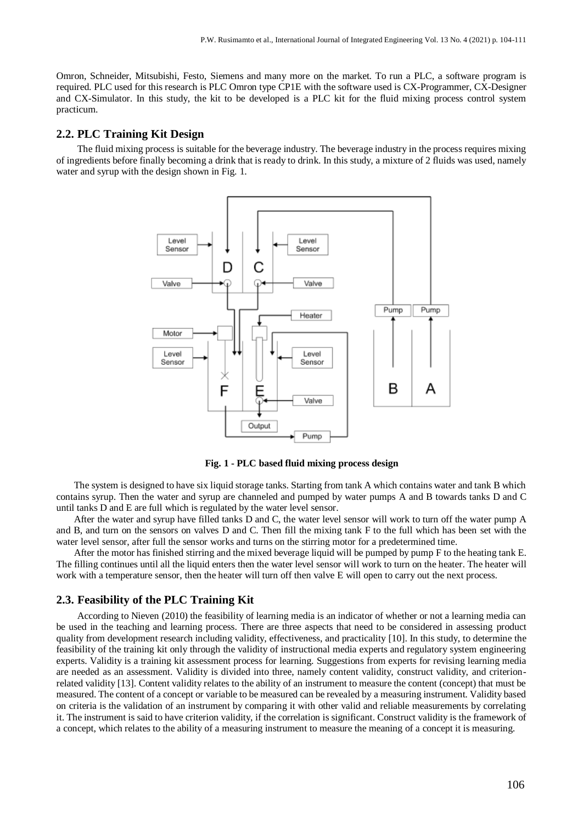Omron, Schneider, Mitsubishi, Festo, Siemens and many more on the market. To run a PLC, a software program is required. PLC used for this research is PLC Omron type CP1E with the software used is CX-Programmer, CX-Designer and CX-Simulator. In this study, the kit to be developed is a PLC kit for the fluid mixing process control system practicum.

#### **2.2. PLC Training Kit Design**

The fluid mixing process is suitable for the beverage industry. The beverage industry in the process requires mixing of ingredients before finally becoming a drink that is ready to drink. In this study, a mixture of 2 fluids was used, namely water and syrup with the design shown in Fig. 1.



**Fig. 1 - PLC based fluid mixing process design**

The system is designed to have six liquid storage tanks. Starting from tank A which contains water and tank B which contains syrup. Then the water and syrup are channeled and pumped by water pumps A and B towards tanks D and C until tanks D and E are full which is regulated by the water level sensor.

After the water and syrup have filled tanks D and C, the water level sensor will work to turn off the water pump A and B, and turn on the sensors on valves D and C. Then fill the mixing tank F to the full which has been set with the water level sensor, after full the sensor works and turns on the stirring motor for a predetermined time.

After the motor has finished stirring and the mixed beverage liquid will be pumped by pump F to the heating tank E. The filling continues until all the liquid enters then the water level sensor will work to turn on the heater. The heater will work with a temperature sensor, then the heater will turn off then valve E will open to carry out the next process.

#### **2.3. Feasibility of the PLC Training Kit**

According to Nieven (2010) the feasibility of learning media is an indicator of whether or not a learning media can be used in the teaching and learning process. There are three aspects that need to be considered in assessing product quality from development research including validity, effectiveness, and practicality [10]. In this study, to determine the feasibility of the training kit only through the validity of instructional media experts and regulatory system engineering experts. Validity is a training kit assessment process for learning. Suggestions from experts for revising learning media are needed as an assessment. Validity is divided into three, namely content validity, construct validity, and criterionrelated validity [13]. Content validity relates to the ability of an instrument to measure the content (concept) that must be measured. The content of a concept or variable to be measured can be revealed by a measuring instrument. Validity based on criteria is the validation of an instrument by comparing it with other valid and reliable measurements by correlating it. The instrument is said to have criterion validity, if the correlation is significant. Construct validity is the framework of a concept, which relates to the ability of a measuring instrument to measure the meaning of a concept it is measuring.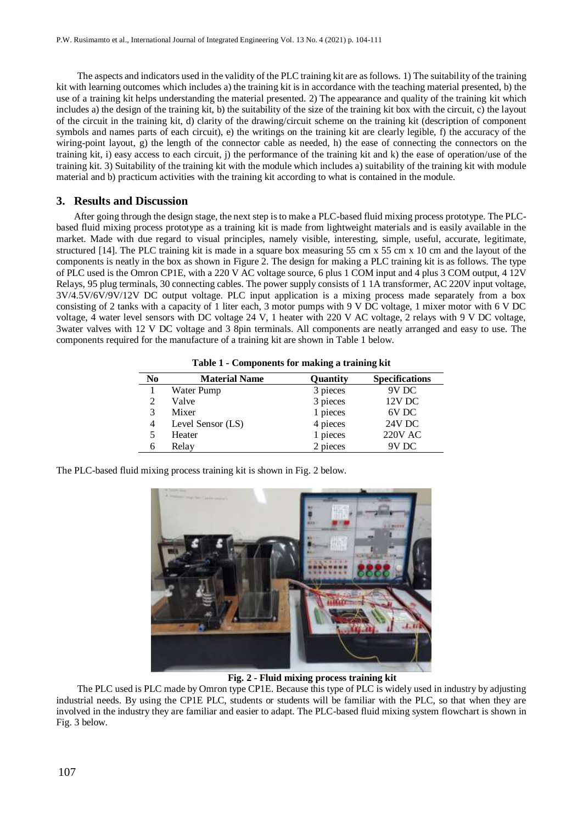The aspects and indicators used in the validity of the PLC training kit are as follows. 1) The suitability of the training kit with learning outcomes which includes a) the training kit is in accordance with the teaching material presented, b) the use of a training kit helps understanding the material presented. 2) The appearance and quality of the training kit which includes a) the design of the training kit, b) the suitability of the size of the training kit box with the circuit, c) the layout of the circuit in the training kit, d) clarity of the drawing/circuit scheme on the training kit (description of component symbols and names parts of each circuit), e) the writings on the training kit are clearly legible, f) the accuracy of the wiring-point layout, g) the length of the connector cable as needed, h) the ease of connecting the connectors on the training kit, i) easy access to each circuit, j) the performance of the training kit and k) the ease of operation/use of the training kit. 3) Suitability of the training kit with the module which includes a) suitability of the training kit with module material and b) practicum activities with the training kit according to what is contained in the module.

#### **3. Results and Discussion**

After going through the design stage, the next step is to make a PLC-based fluid mixing process prototype. The PLCbased fluid mixing process prototype as a training kit is made from lightweight materials and is easily available in the market. Made with due regard to visual principles, namely visible, interesting, simple, useful, accurate, legitimate, structured [14]. The PLC training kit is made in a square box measuring 55 cm x 55 cm x 10 cm and the layout of the components is neatly in the box as shown in Figure 2. The design for making a PLC training kit is as follows. The type of PLC used is the Omron CP1E, with a 220 V AC voltage source, 6 plus 1 COM input and 4 plus 3 COM output, 4 12V Relays, 95 plug terminals, 30 connecting cables. The power supply consists of 1 1A transformer, AC 220V input voltage, 3V/4.5V/6V/9V/12V DC output voltage. PLC input application is a mixing process made separately from a box consisting of 2 tanks with a capacity of 1 liter each, 3 motor pumps with 9 V DC voltage, 1 mixer motor with 6 V DC voltage, 4 water level sensors with DC voltage 24 V, 1 heater with 220 V AC voltage, 2 relays with 9 V DC voltage, 3water valves with 12 V DC voltage and 3 8pin terminals. All components are neatly arranged and easy to use. The components required for the manufacture of a training kit are shown in Table 1 below.

**Table 1 - Components for making a training kit**

| N <sub>0</sub> | <b>Material Name</b> | Quantity | <b>Specifications</b> |
|----------------|----------------------|----------|-----------------------|
|                | Water Pump           | 3 pieces | 9V DC                 |
|                | Valve                | 3 pieces | $12V$ DC              |
|                | Mixer                | 1 pieces | 6V DC                 |
| 4              | Level Sensor (LS)    | 4 pieces | 24V DC                |
|                | Heater               | 1 pieces | <b>220V AC</b>        |
| n              | Relay                | 2 pieces | 9V DC                 |

The PLC-based fluid mixing process training kit is shown in Fig. 2 below.



**Fig. 2 - Fluid mixing process training kit**

The PLC used is PLC made by Omron type CP1E. Because this type of PLC is widely used in industry by adjusting industrial needs. By using the CP1E PLC, students or students will be familiar with the PLC, so that when they are involved in the industry they are familiar and easier to adapt. The PLC-based fluid mixing system flowchart is shown in Fig. 3 below.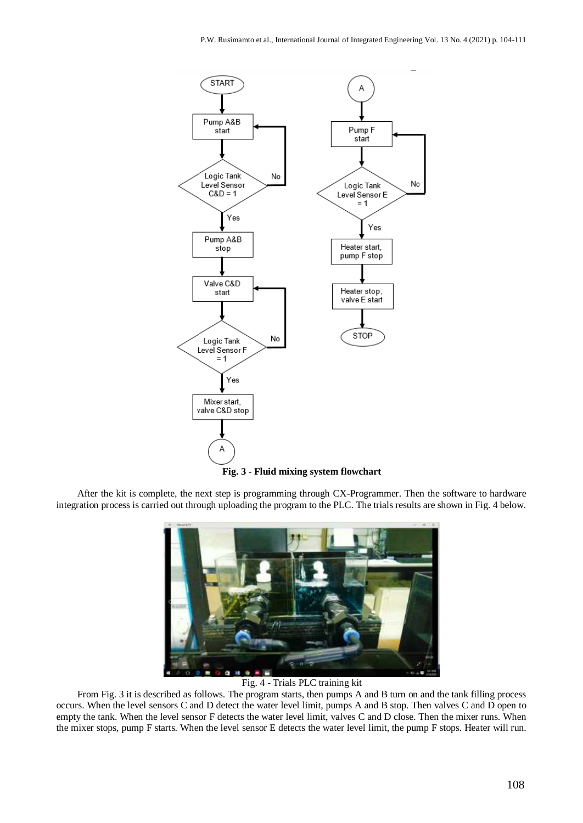

**Fig. 3 - Fluid mixing system flowchart**

After the kit is complete, the next step is programming through CX-Programmer. Then the software to hardware integration process is carried out through uploading the program to the PLC. The trials results are shown in Fig. 4 below.



#### Fig. 4 - Trials PLC training kit

From Fig. 3 it is described as follows. The program starts, then pumps A and B turn on and the tank filling process occurs. When the level sensors C and D detect the water level limit, pumps A and B stop. Then valves C and D open to empty the tank. When the level sensor F detects the water level limit, valves C and D close. Then the mixer runs. When the mixer stops, pump F starts. When the level sensor E detects the water level limit, the pump F stops. Heater will run.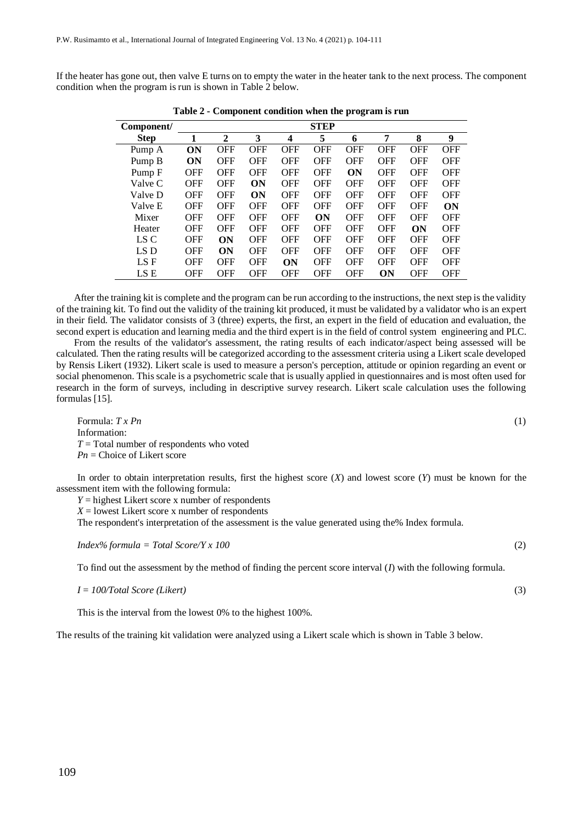If the heater has gone out, then valve E turns on to empty the water in the heater tank to the next process. The component condition when the program is run is shown in Table 2 below.

| Component/  | <b>STEP</b> |              |            |            |            |            |            |            |            |
|-------------|-------------|--------------|------------|------------|------------|------------|------------|------------|------------|
| <b>Step</b> | 1           | $\mathbf{2}$ | 3          | 4          | 5          | 6          | 7          | 8          | 9          |
| Pump A      | ON          | <b>OFF</b>   | OFF        | OFF        | OFF        | <b>OFF</b> | <b>OFF</b> | <b>OFF</b> | OFF        |
| Pump B      | ON          | <b>OFF</b>   | <b>OFF</b> | <b>OFF</b> | OFF        | <b>OFF</b> | <b>OFF</b> | <b>OFF</b> | <b>OFF</b> |
| Pump F      | OFF         | <b>OFF</b>   | <b>OFF</b> | <b>OFF</b> | OFF        | ON         | <b>OFF</b> | OFF        | <b>OFF</b> |
| Valve C     | <b>OFF</b>  | <b>OFF</b>   | ON         | <b>OFF</b> | <b>OFF</b> | <b>OFF</b> | <b>OFF</b> | <b>OFF</b> | <b>OFF</b> |
| Valve D     | <b>OFF</b>  | <b>OFF</b>   | ON         | <b>OFF</b> | <b>OFF</b> | <b>OFF</b> | <b>OFF</b> | <b>OFF</b> | <b>OFF</b> |
| Valve E     | <b>OFF</b>  | <b>OFF</b>   | <b>OFF</b> | <b>OFF</b> | <b>OFF</b> | <b>OFF</b> | <b>OFF</b> | <b>OFF</b> | ON         |
| Mixer       | OFF         | <b>OFF</b>   | <b>OFF</b> | <b>OFF</b> | ON         | <b>OFF</b> | <b>OFF</b> | OFF        | <b>OFF</b> |
| Heater      | OFF         | <b>OFF</b>   | <b>OFF</b> | <b>OFF</b> | <b>OFF</b> | <b>OFF</b> | <b>OFF</b> | ON         | <b>OFF</b> |
| LS C        | <b>OFF</b>  | ON           | <b>OFF</b> | <b>OFF</b> | <b>OFF</b> | <b>OFF</b> | <b>OFF</b> | <b>OFF</b> | <b>OFF</b> |
| LS D        | <b>OFF</b>  | ON           | <b>OFF</b> | <b>OFF</b> | OFF        | <b>OFF</b> | <b>OFF</b> | <b>OFF</b> | <b>OFF</b> |
| LS F        | <b>OFF</b>  | <b>OFF</b>   | <b>OFF</b> | ON         | <b>OFF</b> | <b>OFF</b> | <b>OFF</b> | <b>OFF</b> | <b>OFF</b> |
| LS E        | OFF         | <b>OFF</b>   | <b>OFF</b> | <b>OFF</b> | <b>OFF</b> | <b>OFF</b> | <b>ON</b>  | <b>OFF</b> | <b>OFF</b> |

**Table 2 - Component condition when the program is run**

After the training kit is complete and the program can be run according to the instructions, the next step is the validity of the training kit. To find out the validity of the training kit produced, it must be validated by a validator who is an expert in their field. The validator consists of 3 (three) experts, the first, an expert in the field of education and evaluation, the second expert is education and learning media and the third expert is in the field of control system engineering and PLC.

From the results of the validator's assessment, the rating results of each indicator/aspect being assessed will be calculated. Then the rating results will be categorized according to the assessment criteria using a Likert scale developed by Rensis Likert (1932). Likert scale is used to measure a person's perception, attitude or opinion regarding an event or social phenomenon. This scale is a psychometric scale that is usually applied in questionnaires and is most often used for research in the form of surveys, including in descriptive survey research. Likert scale calculation uses the following formulas [15].

Formula: *T x Pn* (1) Information: *T* = Total number of respondents who voted *Pn* = Choice of Likert score

In order to obtain interpretation results, first the highest score (*X*) and lowest score (*Y*) must be known for the assessment item with the following formula:

 $Y =$  highest Likert score x number of respondents

 $X =$  lowest Likert score x number of respondents

The respondent's interpretation of the assessment is the value generated using the% Index formula.

*Index% formula = Total Score/Y x 100* (2)

To find out the assessment by the method of finding the percent score interval (*I*) with the following formula.

*I* = *100/Total Score (Likert)* (3)

This is the interval from the lowest 0% to the highest 100%.

The results of the training kit validation were analyzed using a Likert scale which is shown in Table 3 below.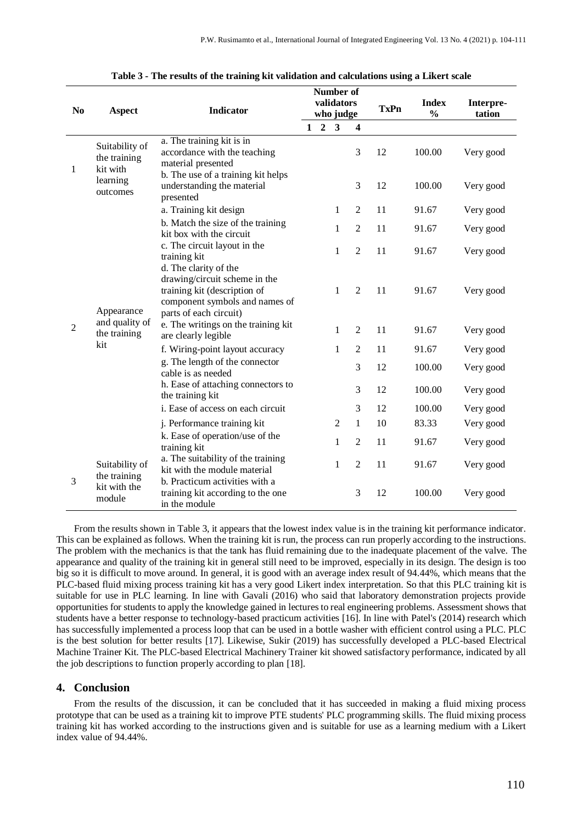| N <sub>0</sub> | <b>Aspect</b>                                                                                                             | <b>Indicator</b>                                                                                                                                   |              |                | Number of<br>validators<br>who judge |                         | <b>TxPn</b> | <b>Index</b><br>$\frac{0}{0}$ | Interpre-<br>tation |  |
|----------------|---------------------------------------------------------------------------------------------------------------------------|----------------------------------------------------------------------------------------------------------------------------------------------------|--------------|----------------|--------------------------------------|-------------------------|-------------|-------------------------------|---------------------|--|
|                |                                                                                                                           |                                                                                                                                                    | $\mathbf{1}$ | $\overline{2}$ | $\overline{\mathbf{3}}$              | $\overline{\mathbf{4}}$ |             |                               |                     |  |
| 1<br>2         | Suitability of<br>the training<br>kit with<br>learning<br>outcomes<br>Appearance<br>and quality of<br>the training<br>kit | a. The training kit is in<br>accordance with the teaching<br>material presented                                                                    |              |                |                                      | 3                       | 12          | 100.00                        | Very good           |  |
|                |                                                                                                                           | b. The use of a training kit helps<br>understanding the material<br>presented                                                                      |              |                |                                      | 3                       | 12          | 100.00                        | Very good           |  |
|                |                                                                                                                           | a. Training kit design                                                                                                                             |              |                | 1                                    | $\overline{2}$          | 11          | 91.67                         | Very good           |  |
|                |                                                                                                                           | b. Match the size of the training<br>kit box with the circuit                                                                                      |              |                | 1                                    | $\overline{2}$          | 11          | 91.67                         | Very good           |  |
|                |                                                                                                                           | c. The circuit layout in the<br>training kit                                                                                                       |              |                | 1                                    | $\overline{2}$          | 11          | 91.67                         | Very good           |  |
|                |                                                                                                                           | d. The clarity of the<br>drawing/circuit scheme in the<br>training kit (description of<br>component symbols and names of<br>parts of each circuit) |              |                | 1                                    | $\overline{2}$          | 11          | 91.67                         | Very good           |  |
|                |                                                                                                                           | e. The writings on the training kit<br>are clearly legible                                                                                         |              |                | 1                                    | $\overline{2}$          | 11          | 91.67                         | Very good           |  |
|                |                                                                                                                           | f. Wiring-point layout accuracy                                                                                                                    |              |                | 1                                    | $\overline{2}$          | 11          | 91.67                         | Very good           |  |
|                |                                                                                                                           | g. The length of the connector<br>cable is as needed                                                                                               |              |                |                                      | 3                       | 12          | 100.00                        | Very good           |  |
|                |                                                                                                                           | h. Ease of attaching connectors to<br>the training kit                                                                                             |              |                |                                      | 3                       | 12          | 100.00                        | Very good           |  |
|                |                                                                                                                           | i. Ease of access on each circuit                                                                                                                  |              |                |                                      | 3                       | 12          | 100.00                        | Very good           |  |
|                |                                                                                                                           | j. Performance training kit                                                                                                                        |              |                | 2                                    | 1                       | 10          | 83.33                         | Very good           |  |
|                |                                                                                                                           | k. Ease of operation/use of the<br>training kit                                                                                                    |              |                | 1                                    | $\overline{2}$          | 11          | 91.67                         | Very good           |  |
| 3              | Suitability of<br>the training<br>kit with the<br>module                                                                  | a. The suitability of the training<br>kit with the module material                                                                                 |              |                | 1                                    | $\overline{2}$          | 11          | 91.67                         | Very good           |  |
|                |                                                                                                                           | b. Practicum activities with a<br>training kit according to the one<br>in the module                                                               |              |                |                                      | 3                       | 12          | 100.00                        | Very good           |  |

**Table 3 - The results of the training kit validation and calculations using a Likert scale**

From the results shown in Table 3, it appears that the lowest index value is in the training kit performance indicator. This can be explained as follows. When the training kit is run, the process can run properly according to the instructions. The problem with the mechanics is that the tank has fluid remaining due to the inadequate placement of the valve. The appearance and quality of the training kit in general still need to be improved, especially in its design. The design is too big so it is difficult to move around. In general, it is good with an average index result of 94.44%, which means that the PLC-based fluid mixing process training kit has a very good Likert index interpretation. So that this PLC training kit is suitable for use in PLC learning. In line with Gavali (2016) who said that laboratory demonstration projects provide opportunities for students to apply the knowledge gained in lectures to real engineering problems. Assessment shows that students have a better response to technology-based practicum activities [16]. In line with Patel's (2014) research which has successfully implemented a process loop that can be used in a bottle washer with efficient control using a PLC. PLC is the best solution for better results [17]. Likewise, Sukir (2019) has successfully developed a PLC-based Electrical Machine Trainer Kit. The PLC-based Electrical Machinery Trainer kit showed satisfactory performance, indicated by all the job descriptions to function properly according to plan [18].

#### **4. Conclusion**

From the results of the discussion, it can be concluded that it has succeeded in making a fluid mixing process prototype that can be used as a training kit to improve PTE students' PLC programming skills. The fluid mixing process training kit has worked according to the instructions given and is suitable for use as a learning medium with a Likert index value of 94.44%.